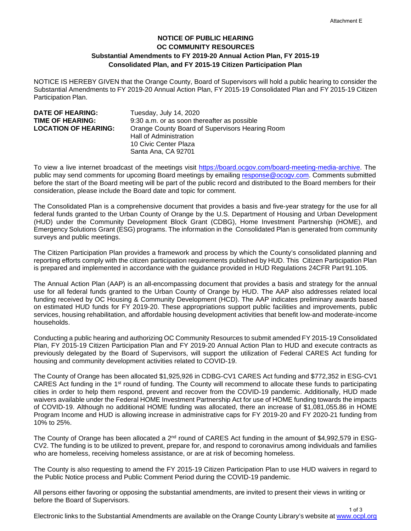1 of 3

## **NOTICE OF PUBLIC HEARING OC COMMUNITY RESOURCES Substantial Amendments to FY 2019-20 Annual Action Plan, FY 2015-19 Consolidated Plan, and FY 2015-19 Citizen Participation Plan**

NOTICE IS HEREBY GIVEN that the Orange County, Board of Supervisors will hold a public hearing to consider the Substantial Amendments to FY 2019-20 Annual Action Plan, FY 2015-19 Consolidated Plan and FY 2015-19 Citizen Participation Plan.

| <b>DATE OF HEARING:</b><br><b>TIME OF HEARING:</b><br><b>LOCATION OF HEARING:</b> | Tuesday, July 14, 2020<br>9:30 a.m. or as soon thereafter as possible<br>Orange County Board of Supervisors Hearing Room<br>Hall of Administration |
|-----------------------------------------------------------------------------------|----------------------------------------------------------------------------------------------------------------------------------------------------|
|                                                                                   | 10 Civic Center Plaza                                                                                                                              |
|                                                                                   | Santa Ana, CA 92701                                                                                                                                |

To view a live internet broadcast of the meetings visit [https://board.ocgov.com/board-meeting-media-archive.](https://board.ocgov.com/board-meeting-media-archive) The public may send comments for upcoming Board meetings by emailing [response@ocogv.com.](mailto:response@ocogv.com) Comments submitted before the start of the Board meeting will be part of the public record and distributed to the Board members for their consideration, please include the Board date and topic for comment.

The Consolidated Plan is a comprehensive document that provides a basis and five-year strategy for the use for all federal funds granted to the Urban County of Orange by the U.S. Department of Housing and Urban Development (HUD) under the Community Development Block Grant (CDBG), Home Investment Partnership (HOME), and Emergency Solutions Grant (ESG) programs. The information in the Consolidated Plan is generated from community surveys and public meetings.

The Citizen Participation Plan provides a framework and process by which the County's consolidated planning and reporting efforts comply with the citizen participation requirements published by HUD. This Citizen Participation Plan is prepared and implemented in accordance with the guidance provided in HUD Regulations 24CFR Part 91.105.

The Annual Action Plan (AAP) is an all-encompassing document that provides a basis and strategy for the annual use for all federal funds granted to the Urban County of Orange by HUD. The AAP also addresses related local funding received by OC Housing & Community Development (HCD). The AAP indicates preliminary awards based on estimated HUD funds for FY 2019-20. These appropriations support public facilities and improvements, public services, housing rehabilitation, and affordable housing development activities that benefit low-and moderate-income households.

Conducting a public hearing and authorizing OC Community Resources to submit amended FY 2015-19 Consolidated Plan, FY 2015-19 Citizen Participation Plan and FY 2019-20 Annual Action Plan to HUD and execute contracts as previously delegated by the Board of Supervisors, will support the utilization of Federal CARES Act funding for housing and community development activities related to COVID-19.

The County of Orange has been allocated \$1,925,926 in CDBG-CV1 CARES Act funding and \$772,352 in ESG-CV1 CARES Act funding in the 1st round of funding. The County will recommend to allocate these funds to participating cities in order to help them respond, prevent and recover from the COVID-19 pandemic. Additionally, HUD made waivers available under the Federal HOME Investment Partnership Act for use of HOME funding towards the impacts of COVID-19. Although no additional HOME funding was allocated, there an increase of \$1,081,055.86 in HOME Program Income and HUD is allowing increase in administrative caps for FY 2019-20 and FY 2020-21 funding from 10% to 25%.

The County of Orange has been allocated a  $2<sup>nd</sup>$  round of CARES Act funding in the amount of \$4,992,579 in ESG-CV2. The funding is to be utilized to prevent, prepare for, and respond to coronavirus among individuals and families who are homeless, receiving homeless assistance, or are at risk of becoming homeless.

The County is also requesting to amend the FY 2015-19 Citizen Participation Plan to use HUD waivers in regard to the Public Notice process and Public Comment Period during the COVID-19 pandemic.

All persons either favoring or opposing the substantial amendments, are invited to present their views in writing or before the Board of Supervisors.

Electronic links to the Substantial Amendments are available on the Orange County Library's website a[t www.ocpl.org](http://www.ocpl.org/)